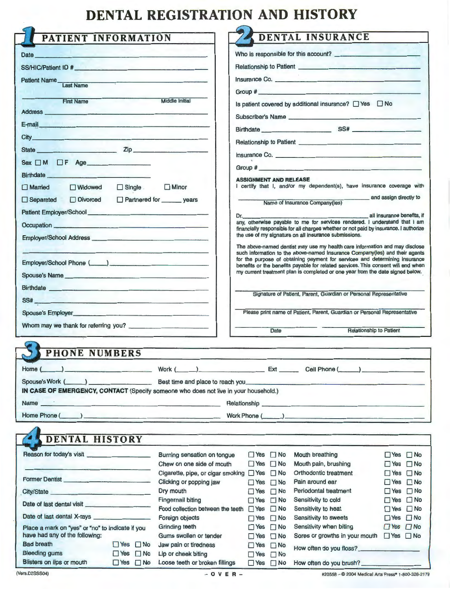## **DENTAL REGISTRATION AND HISTORY**

| PATIENT INFORMATION                                                                                                                                                                                                                 |                                                                                                                                                                                                                               |                                                                                                                                                                                                                                                                       |                                                                             |                      | DENTAL INSURANCE                                                                                                                                                                                                               |                                              |  |
|-------------------------------------------------------------------------------------------------------------------------------------------------------------------------------------------------------------------------------------|-------------------------------------------------------------------------------------------------------------------------------------------------------------------------------------------------------------------------------|-----------------------------------------------------------------------------------------------------------------------------------------------------------------------------------------------------------------------------------------------------------------------|-----------------------------------------------------------------------------|----------------------|--------------------------------------------------------------------------------------------------------------------------------------------------------------------------------------------------------------------------------|----------------------------------------------|--|
|                                                                                                                                                                                                                                     |                                                                                                                                                                                                                               |                                                                                                                                                                                                                                                                       |                                                                             |                      |                                                                                                                                                                                                                                |                                              |  |
| Date <b>Date Date in the contract of the contract of the contract of the contract of the contract of the contract of the contract of the contract of the contract of the contract of the contract of the contract of the contr</b>  |                                                                                                                                                                                                                               | Who is responsible for this account?<br>Relationship to Patient Learning and Secretary Annual Secretary and Secretary Annual Secretary and Secretary Annual Secretary and Secretary Annual Secretary and Secretary Annual Secretary Annual Secretary Annual Secretary |                                                                             |                      |                                                                                                                                                                                                                                |                                              |  |
| SS/HIC/Patient ID #                                                                                                                                                                                                                 |                                                                                                                                                                                                                               |                                                                                                                                                                                                                                                                       |                                                                             |                      |                                                                                                                                                                                                                                |                                              |  |
| Patient Name<br>Last Name                                                                                                                                                                                                           |                                                                                                                                                                                                                               |                                                                                                                                                                                                                                                                       | Insurance Co.                                                               |                      |                                                                                                                                                                                                                                |                                              |  |
|                                                                                                                                                                                                                                     |                                                                                                                                                                                                                               |                                                                                                                                                                                                                                                                       |                                                                             |                      |                                                                                                                                                                                                                                |                                              |  |
| <b>First Name</b><br><b>Middle Initial</b>                                                                                                                                                                                          |                                                                                                                                                                                                                               |                                                                                                                                                                                                                                                                       | Is patient covered by additional insurance? [] Yes [] No                    |                      |                                                                                                                                                                                                                                |                                              |  |
| Address <b>Address</b>                                                                                                                                                                                                              |                                                                                                                                                                                                                               |                                                                                                                                                                                                                                                                       |                                                                             |                      | Subscriber's Name                                                                                                                                                                                                              |                                              |  |
| E-mail                                                                                                                                                                                                                              |                                                                                                                                                                                                                               |                                                                                                                                                                                                                                                                       |                                                                             |                      | Birthdate SS#                                                                                                                                                                                                                  |                                              |  |
| City <b>City</b>                                                                                                                                                                                                                    |                                                                                                                                                                                                                               |                                                                                                                                                                                                                                                                       |                                                                             |                      |                                                                                                                                                                                                                                |                                              |  |
| State <b>Zip Zip</b>                                                                                                                                                                                                                |                                                                                                                                                                                                                               |                                                                                                                                                                                                                                                                       |                                                                             |                      |                                                                                                                                                                                                                                |                                              |  |
|                                                                                                                                                                                                                                     |                                                                                                                                                                                                                               |                                                                                                                                                                                                                                                                       |                                                                             |                      | Insurance Co.                                                                                                                                                                                                                  |                                              |  |
| Sex OM OF Age                                                                                                                                                                                                                       |                                                                                                                                                                                                                               |                                                                                                                                                                                                                                                                       |                                                                             |                      | Group # 2009 Contract 2009 And 2009 Contract 2009 And 2009 And 2009 And 2009 And 2009 And 2009 And 2009 And 20                                                                                                                 |                                              |  |
| Birthdate <b>Executive Structure and Structure Control</b>                                                                                                                                                                          |                                                                                                                                                                                                                               |                                                                                                                                                                                                                                                                       | <b>ASSIGNMENT AND RELEASE</b>                                               |                      |                                                                                                                                                                                                                                |                                              |  |
| $\Box$ Married<br><b>Nidowed</b>                                                                                                                                                                                                    | $\Box$ Single .                                                                                                                                                                                                               | $\Box$ Minor                                                                                                                                                                                                                                                          |                                                                             |                      | I certify that I, and/or my dependent(s), have insurance coverage with                                                                                                                                                         |                                              |  |
| Divorced<br>$\Box$ Separated                                                                                                                                                                                                        |                                                                                                                                                                                                                               | Partnered for _______ years                                                                                                                                                                                                                                           |                                                                             |                      | Name of Insurance Company(ies)                                                                                                                                                                                                 | and assign directly to                       |  |
|                                                                                                                                                                                                                                     |                                                                                                                                                                                                                               |                                                                                                                                                                                                                                                                       | all insurance benefits, if                                                  |                      |                                                                                                                                                                                                                                |                                              |  |
|                                                                                                                                                                                                                                     |                                                                                                                                                                                                                               |                                                                                                                                                                                                                                                                       | Dr. __                                                                      |                      | any, otherwise payable to me for services rendered. I understand that I am                                                                                                                                                     |                                              |  |
|                                                                                                                                                                                                                                     |                                                                                                                                                                                                                               |                                                                                                                                                                                                                                                                       |                                                                             |                      | financially responsible for all charges whether or not paid by insurance. I authorize<br>the use of my signature on all insurance submissions.                                                                                 |                                              |  |
| Employer/School Address <b>Container and Container and Container and Container and Container and Container</b>                                                                                                                      |                                                                                                                                                                                                                               |                                                                                                                                                                                                                                                                       | The above-named dentist may use my health care information and may disclose |                      |                                                                                                                                                                                                                                |                                              |  |
|                                                                                                                                                                                                                                     |                                                                                                                                                                                                                               |                                                                                                                                                                                                                                                                       |                                                                             |                      | such information to the above-named Insurance Company(ies) and their agents                                                                                                                                                    |                                              |  |
| Employer/School Phone (Company Company Company Company Company Company Company Company Company Company Company                                                                                                                      |                                                                                                                                                                                                                               |                                                                                                                                                                                                                                                                       |                                                                             |                      | for the purpose of obtaining payment for services and determining insurance<br>benefits or the benefits payable for related services. This consent will end when                                                               |                                              |  |
| Spouse's Name                                                                                                                                                                                                                       |                                                                                                                                                                                                                               |                                                                                                                                                                                                                                                                       |                                                                             |                      | my current treatment plan is completed or one year from the date signed below.                                                                                                                                                 |                                              |  |
| Birthdate <b>Executive Construction of the Construction</b> Construction of the Construction of the Construction of the Construction of the Construction of the Construction of the Construction of the Construction of the Constru |                                                                                                                                                                                                                               |                                                                                                                                                                                                                                                                       |                                                                             |                      |                                                                                                                                                                                                                                |                                              |  |
|                                                                                                                                                                                                                                     |                                                                                                                                                                                                                               |                                                                                                                                                                                                                                                                       |                                                                             |                      | Signature of Patient, Parent, Guardian or Personal Representative                                                                                                                                                              |                                              |  |
|                                                                                                                                                                                                                                     |                                                                                                                                                                                                                               |                                                                                                                                                                                                                                                                       |                                                                             |                      |                                                                                                                                                                                                                                |                                              |  |
| Spouse's Employer                                                                                                                                                                                                                   | the control of the control of the control of the control of the control of the control of the control of the control of the control of the control of the control of the control of the control of the control of the control |                                                                                                                                                                                                                                                                       |                                                                             |                      | Please print name of Patient, Parent, Guardian or Personal Representative                                                                                                                                                      |                                              |  |
|                                                                                                                                                                                                                                     |                                                                                                                                                                                                                               |                                                                                                                                                                                                                                                                       |                                                                             | Date                 | <b>Relationship to Patient</b>                                                                                                                                                                                                 |                                              |  |
|                                                                                                                                                                                                                                     |                                                                                                                                                                                                                               |                                                                                                                                                                                                                                                                       |                                                                             |                      |                                                                                                                                                                                                                                |                                              |  |
| <b>PHONE NUMBERS</b>                                                                                                                                                                                                                |                                                                                                                                                                                                                               |                                                                                                                                                                                                                                                                       |                                                                             |                      |                                                                                                                                                                                                                                |                                              |  |
|                                                                                                                                                                                                                                     |                                                                                                                                                                                                                               |                                                                                                                                                                                                                                                                       |                                                                             |                      |                                                                                                                                                                                                                                |                                              |  |
| Home (                                                                                                                                                                                                                              |                                                                                                                                                                                                                               |                                                                                                                                                                                                                                                                       |                                                                             |                      | $\longrightarrow$ Work $\qquad$ ) Ext Cell Phone ( $\longrightarrow$                                                                                                                                                           |                                              |  |
|                                                                                                                                                                                                                                     |                                                                                                                                                                                                                               |                                                                                                                                                                                                                                                                       |                                                                             |                      | Spouse's Work (Company of the Spouse's Work (Company of the Spouse's Work (Company of the Spouse's Work (Company of the Spouse's Work of the Spouse's Work of the Spouse's Work of the Spouse of the Spouse of the Spouse of t |                                              |  |
|                                                                                                                                                                                                                                     |                                                                                                                                                                                                                               | IN CASE OF EMERGENCY, CONTACT (Specify someone who does not live in your household.)                                                                                                                                                                                  |                                                                             |                      |                                                                                                                                                                                                                                |                                              |  |
| Name and the contract of the contract of the contract of the contract of the contract of the contract of the contract of the contract of the contract of the contract of the contract of the contract of the contract of the c      |                                                                                                                                                                                                                               |                                                                                                                                                                                                                                                                       |                                                                             |                      | Relationship                                                                                                                                                                                                                   |                                              |  |
|                                                                                                                                                                                                                                     |                                                                                                                                                                                                                               |                                                                                                                                                                                                                                                                       |                                                                             |                      |                                                                                                                                                                                                                                |                                              |  |
|                                                                                                                                                                                                                                     |                                                                                                                                                                                                                               |                                                                                                                                                                                                                                                                       |                                                                             |                      |                                                                                                                                                                                                                                |                                              |  |
|                                                                                                                                                                                                                                     |                                                                                                                                                                                                                               |                                                                                                                                                                                                                                                                       |                                                                             |                      |                                                                                                                                                                                                                                |                                              |  |
| <b>DENTAL HISTORY</b>                                                                                                                                                                                                               |                                                                                                                                                                                                                               |                                                                                                                                                                                                                                                                       |                                                                             |                      |                                                                                                                                                                                                                                |                                              |  |
| Reason for today's visit                                                                                                                                                                                                            |                                                                                                                                                                                                                               | Burning sensation on tongue                                                                                                                                                                                                                                           |                                                                             | $\Box$ Yes $\Box$ No | Mouth breathing                                                                                                                                                                                                                | $\Box$ Yes $\Box$ No                         |  |
|                                                                                                                                                                                                                                     |                                                                                                                                                                                                                               | Chew on one side of mouth                                                                                                                                                                                                                                             | $\Box$ Yes $\Box$ No                                                        |                      | Mouth pain, brushing                                                                                                                                                                                                           | $\Box$ Yes $\Box$ No                         |  |
|                                                                                                                                                                                                                                     |                                                                                                                                                                                                                               | Cigarette, pipe, or cigar smoking □ Yes □ No                                                                                                                                                                                                                          |                                                                             |                      | Orthodontic treatment                                                                                                                                                                                                          | $\Box$ Yes $\Box$ No                         |  |
| Former Dentist                                                                                                                                                                                                                      |                                                                                                                                                                                                                               | Clicking or popping jaw                                                                                                                                                                                                                                               | $\Box$ Yes $\Box$ No                                                        |                      | Pain around ear                                                                                                                                                                                                                | $\Box$ Yes $\Box$ No                         |  |
| City/State                                                                                                                                                                                                                          |                                                                                                                                                                                                                               | Dry mouth                                                                                                                                                                                                                                                             | $\Box$ Yes                                                                  | $\square$ No         | Periodontal treatment                                                                                                                                                                                                          | $\Box$ Yes $\Box$ No                         |  |
| Date of last dental visit                                                                                                                                                                                                           |                                                                                                                                                                                                                               | <b>Fingernail biting</b>                                                                                                                                                                                                                                              | $\Box$ Yes $\Box$ No                                                        |                      | Sensitivity to cold                                                                                                                                                                                                            | $\Box$ Yes $\Box$ No                         |  |
|                                                                                                                                                                                                                                     |                                                                                                                                                                                                                               | Food collection between the teeth $\Box$ Yes $\Box$ No<br>Foreign objects                                                                                                                                                                                             | $\Box$ Yes $\Box$ No                                                        |                      | Sensitivity to heat<br>Sensitivity to sweets                                                                                                                                                                                   | $\Box$ Yes $\Box$ No<br>$\Box$ Yes $\Box$ No |  |
|                                                                                                                                                                                                                                     |                                                                                                                                                                                                                               | Grinding teeth                                                                                                                                                                                                                                                        | $\Box$ Yes $\Box$ No                                                        |                      | Sensitivity when biting                                                                                                                                                                                                        | $\Box$ Yes $\Box$ No                         |  |
| Place a mark on "yes" or "no" to indicate if you<br>have had any of the following:                                                                                                                                                  |                                                                                                                                                                                                                               | Gums swollen or tender                                                                                                                                                                                                                                                | $\Box$ Yes $\Box$ No                                                        |                      | Sores or growths in your mouth $\Box$ Yes $\Box$ No                                                                                                                                                                            |                                              |  |
| <b>Bad breath</b>                                                                                                                                                                                                                   | $\Box$ Yes $\Box$ No                                                                                                                                                                                                          | Jaw pain or tiredness                                                                                                                                                                                                                                                 | $\Box$ Yes $\Box$ No                                                        |                      | How often do you floss?                                                                                                                                                                                                        |                                              |  |
| <b>Bleeding gums</b>                                                                                                                                                                                                                | $\Box$ Yes $\Box$ No                                                                                                                                                                                                          | Lip or cheek biting                                                                                                                                                                                                                                                   | $\Box$ Yes $\Box$ No                                                        |                      |                                                                                                                                                                                                                                |                                              |  |
| Blisters on lips or mouth                                                                                                                                                                                                           | $\Box$ Yes $\Box$ No                                                                                                                                                                                                          | Loose teeth or broken fillings                                                                                                                                                                                                                                        |                                                                             | $\Box$ Yes $\Box$ No |                                                                                                                                                                                                                                |                                              |  |

#20558 - @ 2004 Medical Arts Press<sup>®</sup> 1-800-328-2179